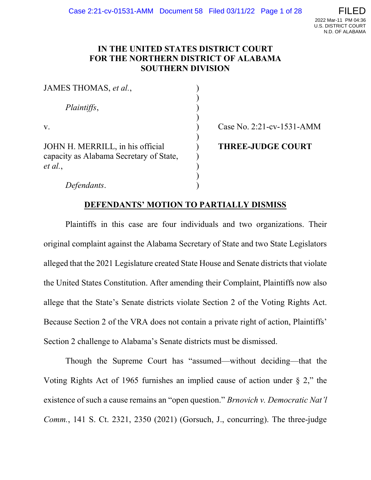### IN THE UNITED STATES DISTRICT COURT FOR THE NORTHERN DISTRICT OF ALABAMA SOUTHERN DIVISION

| JAMES THOMAS, et al.,                                                       |                           |
|-----------------------------------------------------------------------------|---------------------------|
| Plaintiffs,                                                                 |                           |
|                                                                             |                           |
| V.                                                                          | Case No. 2:21-cv-1531-AMM |
|                                                                             |                           |
| JOHN H. MERRILL, in his official<br>capacity as Alabama Secretary of State, | <b>THREE-JUDGE COURT</b>  |
| et al.,                                                                     |                           |
|                                                                             |                           |
| Defendants.                                                                 |                           |

### DEFENDANTS' MOTION TO PARTIALLY DISMISS

Plaintiffs in this case are four individuals and two organizations. Their original complaint against the Alabama Secretary of State and two State Legislators alleged that the 2021 Legislature created State House and Senate districts that violate the United States Constitution. After amending their Complaint, Plaintiffs now also allege that the State's Senate districts violate Section 2 of the Voting Rights Act. Because Section 2 of the VRA does not contain a private right of action, Plaintiffs' Section 2 challenge to Alabama's Senate districts must be dismissed.

Though the Supreme Court has "assumed—without deciding—that the Voting Rights Act of 1965 furnishes an implied cause of action under  $\S 2$ ," the existence of such a cause remains an "open question." Brnovich v. Democratic Nat'l Comm., 141 S. Ct. 2321, 2350 (2021) (Gorsuch, J., concurring). The three-judge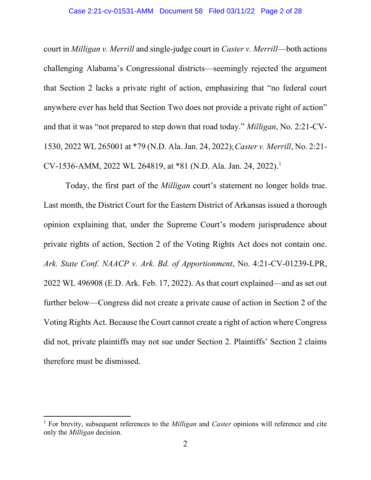### Case 2:21-cv-01531-AMM Document 58 Filed 03/11/22 Page 2 of 28

court in Milligan v. Merrill and single-judge court in Caster v. Merrill—both actions challenging Alabama's Congressional districts—seemingly rejected the argument that Section 2 lacks a private right of action, emphasizing that "no federal court anywhere ever has held that Section Two does not provide a private right of action" and that it was "not prepared to step down that road today." Milligan, No. 2:21-CV-1530, 2022 WL 265001 at \*79 (N.D. Ala. Jan. 24, 2022); Caster v. Merrill, No. 2:21- CV-1536-AMM, 2022 WL 264819, at \*81 (N.D. Ala. Jan. 24, 2022).<sup>1</sup>

Today, the first part of the Milligan court's statement no longer holds true. Last month, the District Court for the Eastern District of Arkansas issued a thorough opinion explaining that, under the Supreme Court's modern jurisprudence about private rights of action, Section 2 of the Voting Rights Act does not contain one. Ark. State Conf. NAACP v. Ark. Bd. of Apportionment, No. 4:21-CV-01239-LPR, 2022 WL 496908 (E.D. Ark. Feb. 17, 2022). As that court explained—and as set out further below—Congress did not create a private cause of action in Section 2 of the Voting Rights Act. Because the Court cannot create a right of action where Congress did not, private plaintiffs may not sue under Section 2. Plaintiffs' Section 2 claims therefore must be dismissed.

<sup>&</sup>lt;sup>1</sup> For brevity, subsequent references to the *Milligan* and *Caster* opinions will reference and cite only the Milligan decision.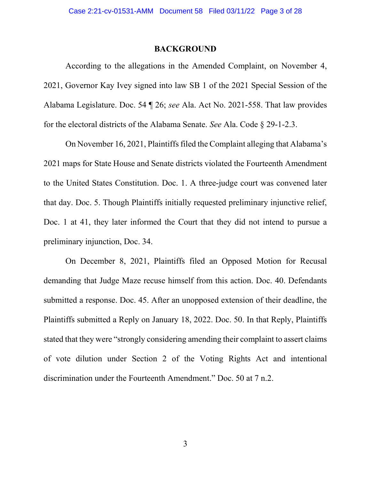### BACKGROUND

According to the allegations in the Amended Complaint, on November 4, 2021, Governor Kay Ivey signed into law SB 1 of the 2021 Special Session of the Alabama Legislature. Doc. 54 ¶ 26; see Ala. Act No. 2021-558. That law provides for the electoral districts of the Alabama Senate. See Ala. Code § 29-1-2.3.

On November 16, 2021, Plaintiffs filed the Complaint alleging that Alabama's 2021 maps for State House and Senate districts violated the Fourteenth Amendment to the United States Constitution. Doc. 1. A three-judge court was convened later that day. Doc. 5. Though Plaintiffs initially requested preliminary injunctive relief, Doc. 1 at 41, they later informed the Court that they did not intend to pursue a preliminary injunction, Doc. 34.

On December 8, 2021, Plaintiffs filed an Opposed Motion for Recusal demanding that Judge Maze recuse himself from this action. Doc. 40. Defendants submitted a response. Doc. 45. After an unopposed extension of their deadline, the Plaintiffs submitted a Reply on January 18, 2022. Doc. 50. In that Reply, Plaintiffs stated that they were "strongly considering amending their complaint to assert claims of vote dilution under Section 2 of the Voting Rights Act and intentional discrimination under the Fourteenth Amendment." Doc. 50 at 7 n.2.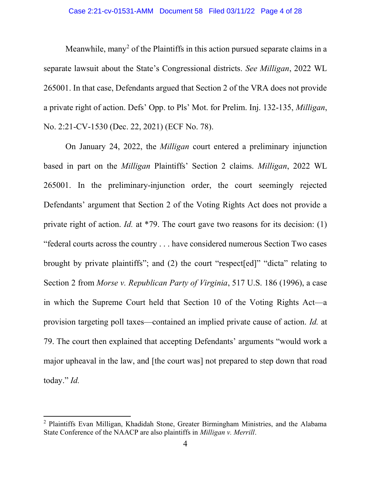#### Case 2:21-cv-01531-AMM Document 58 Filed 03/11/22 Page 4 of 28

Meanwhile, many<sup>2</sup> of the Plaintiffs in this action pursued separate claims in a separate lawsuit about the State's Congressional districts. See Milligan, 2022 WL 265001. In that case, Defendants argued that Section 2 of the VRA does not provide a private right of action. Defs' Opp. to Pls' Mot. for Prelim. Inj. 132-135, Milligan, No. 2:21-CV-1530 (Dec. 22, 2021) (ECF No. 78).

On January 24, 2022, the Milligan court entered a preliminary injunction based in part on the Milligan Plaintiffs' Section 2 claims. Milligan, 2022 WL 265001. In the preliminary-injunction order, the court seemingly rejected Defendants' argument that Section 2 of the Voting Rights Act does not provide a private right of action. Id. at \*79. The court gave two reasons for its decision: (1) "federal courts across the country . . . have considered numerous Section Two cases brought by private plaintiffs"; and (2) the court "respect[ed]" "dicta" relating to Section 2 from Morse v. Republican Party of Virginia, 517 U.S. 186 (1996), a case in which the Supreme Court held that Section 10 of the Voting Rights Act—a provision targeting poll taxes—contained an implied private cause of action. Id. at 79. The court then explained that accepting Defendants' arguments "would work a major upheaval in the law, and [the court was] not prepared to step down that road today." Id.

<sup>&</sup>lt;sup>2</sup> Plaintiffs Evan Milligan, Khadidah Stone, Greater Birmingham Ministries, and the Alabama State Conference of the NAACP are also plaintiffs in Milligan v. Merrill.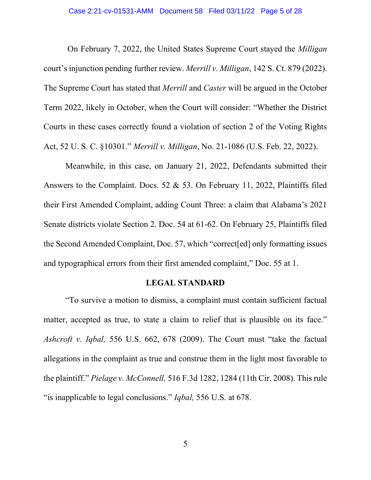On February 7, 2022, the United States Supreme Court stayed the Milligan court's injunction pending further review. Merrill v. Milligan, 142 S. Ct. 879 (2022). The Supreme Court has stated that *Merrill* and *Caster* will be argued in the October Term 2022, likely in October, when the Court will consider: "Whether the District Courts in these cases correctly found a violation of section 2 of the Voting Rights Act, 52 U. S. C. §10301." Merrill v. Milligan, No. 21-1086 (U.S. Feb. 22, 2022).

Meanwhile, in this case, on January 21, 2022, Defendants submitted their Answers to the Complaint. Docs. 52 & 53. On February 11, 2022, Plaintiffs filed their First Amended Complaint, adding Count Three: a claim that Alabama's 2021 Senate districts violate Section 2. Doc. 54 at 61-62. On February 25, Plaintiffs filed the Second Amended Complaint, Doc. 57, which "correct[ed] only formatting issues and typographical errors from their first amended complaint," Doc. 55 at 1.

### LEGAL STANDARD

"To survive a motion to dismiss, a complaint must contain sufficient factual matter, accepted as true, to state a claim to relief that is plausible on its face." Ashcroft v. Iqbal, 556 U.S. 662, 678 (2009). The Court must "take the factual allegations in the complaint as true and construe them in the light most favorable to the plaintiff." Pielage v. McConnell, 516 F.3d 1282, 1284 (11th Cir. 2008). This rule "is inapplicable to legal conclusions." *Iqbal*, 556 U.S. at 678.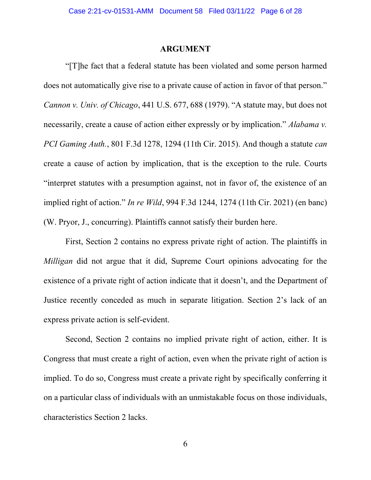### ARGUMENT

"[T]he fact that a federal statute has been violated and some person harmed does not automatically give rise to a private cause of action in favor of that person." Cannon v. Univ. of Chicago, 441 U.S. 677, 688 (1979). "A statute may, but does not necessarily, create a cause of action either expressly or by implication." Alabama v. PCI Gaming Auth., 801 F.3d 1278, 1294 (11th Cir. 2015). And though a statute can create a cause of action by implication, that is the exception to the rule. Courts "interpret statutes with a presumption against, not in favor of, the existence of an implied right of action." In re Wild, 994 F.3d 1244, 1274 (11th Cir. 2021) (en banc) (W. Pryor, J., concurring). Plaintiffs cannot satisfy their burden here.

First, Section 2 contains no express private right of action. The plaintiffs in Milligan did not argue that it did, Supreme Court opinions advocating for the existence of a private right of action indicate that it doesn't, and the Department of Justice recently conceded as much in separate litigation. Section 2's lack of an express private action is self-evident.

Second, Section 2 contains no implied private right of action, either. It is Congress that must create a right of action, even when the private right of action is implied. To do so, Congress must create a private right by specifically conferring it on a particular class of individuals with an unmistakable focus on those individuals, characteristics Section 2 lacks.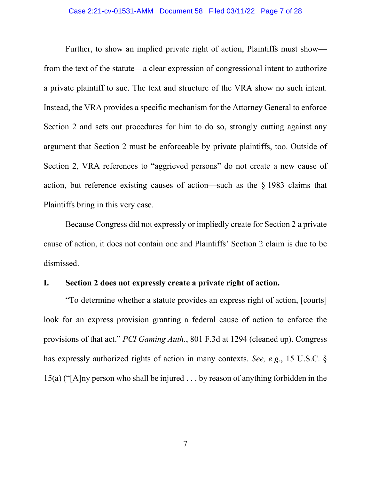Further, to show an implied private right of action, Plaintiffs must show from the text of the statute—a clear expression of congressional intent to authorize a private plaintiff to sue. The text and structure of the VRA show no such intent. Instead, the VRA provides a specific mechanism for the Attorney General to enforce Section 2 and sets out procedures for him to do so, strongly cutting against any argument that Section 2 must be enforceable by private plaintiffs, too. Outside of Section 2, VRA references to "aggrieved persons" do not create a new cause of action, but reference existing causes of action—such as the § 1983 claims that Plaintiffs bring in this very case.

Because Congress did not expressly or impliedly create for Section 2 a private cause of action, it does not contain one and Plaintiffs' Section 2 claim is due to be dismissed.

### I. Section 2 does not expressly create a private right of action.

"To determine whether a statute provides an express right of action, [courts] look for an express provision granting a federal cause of action to enforce the provisions of that act." PCI Gaming Auth., 801 F.3d at 1294 (cleaned up). Congress has expressly authorized rights of action in many contexts. See, e.g., 15 U.S.C. § 15(a) ("[A]ny person who shall be injured . . . by reason of anything forbidden in the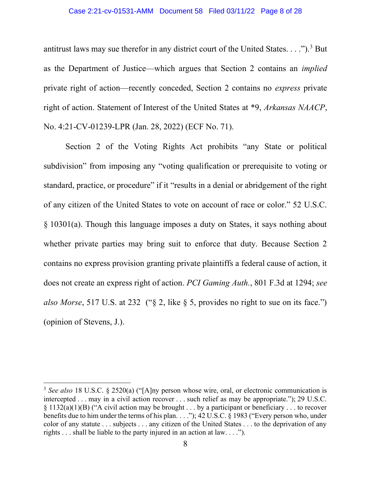### Case 2:21-cv-01531-AMM Document 58 Filed 03/11/22 Page 8 of 28

antitrust laws may sue therefor in any district court of the United States.  $\dots$ ").<sup>3</sup> But as the Department of Justice—which argues that Section 2 contains an implied private right of action—recently conceded, Section 2 contains no express private right of action. Statement of Interest of the United States at \*9, Arkansas NAACP, No. 4:21-CV-01239-LPR (Jan. 28, 2022) (ECF No. 71).

Section 2 of the Voting Rights Act prohibits "any State or political subdivision" from imposing any "voting qualification or prerequisite to voting or standard, practice, or procedure" if it "results in a denial or abridgement of the right of any citizen of the United States to vote on account of race or color." 52 U.S.C. § 10301(a). Though this language imposes a duty on States, it says nothing about whether private parties may bring suit to enforce that duty. Because Section 2 contains no express provision granting private plaintiffs a federal cause of action, it does not create an express right of action. PCI Gaming Auth., 801 F.3d at 1294; see also Morse, 517 U.S. at 232 ("§ 2, like § 5, provides no right to sue on its face.") (opinion of Stevens, J.).

<sup>&</sup>lt;sup>3</sup> See also 18 U.S.C. § 2520(a) ("[A]ny person whose wire, oral, or electronic communication is intercepted . . . may in a civil action recover . . . such relief as may be appropriate."); 29 U.S.C. § 1132(a)(1)(B) ("A civil action may be brought . . . by a participant or beneficiary . . . to recover benefits due to him under the terms of his plan. . . ."); 42 U.S.C. § 1983 ("Every person who, under color of any statute . . . subjects . . . any citizen of the United States . . . to the deprivation of any rights . . . shall be liable to the party injured in an action at law. . . .").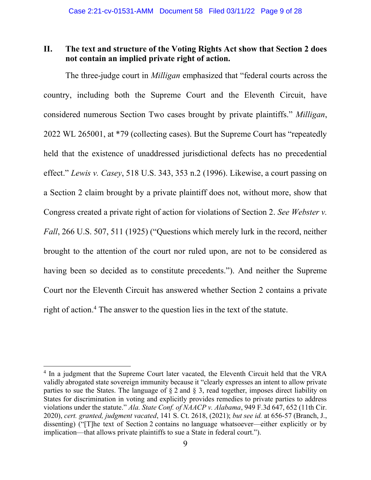## II. The text and structure of the Voting Rights Act show that Section 2 does not contain an implied private right of action.

The three-judge court in *Milligan* emphasized that "federal courts across the country, including both the Supreme Court and the Eleventh Circuit, have considered numerous Section Two cases brought by private plaintiffs." Milligan, 2022 WL 265001, at \*79 (collecting cases). But the Supreme Court has "repeatedly held that the existence of unaddressed jurisdictional defects has no precedential effect." Lewis v. Casey, 518 U.S. 343, 353 n.2 (1996). Likewise, a court passing on a Section 2 claim brought by a private plaintiff does not, without more, show that Congress created a private right of action for violations of Section 2. See Webster v. Fall, 266 U.S. 507, 511 (1925) ("Questions which merely lurk in the record, neither brought to the attention of the court nor ruled upon, are not to be considered as having been so decided as to constitute precedents."). And neither the Supreme Court nor the Eleventh Circuit has answered whether Section 2 contains a private right of action.<sup>4</sup> The answer to the question lies in the text of the statute.

<sup>&</sup>lt;sup>4</sup> In a judgment that the Supreme Court later vacated, the Eleventh Circuit held that the VRA validly abrogated state sovereign immunity because it "clearly expresses an intent to allow private parties to sue the States. The language of  $\S 2$  and  $\S 3$ , read together, imposes direct liability on States for discrimination in voting and explicitly provides remedies to private parties to address violations under the statute." Ala. State Conf. of NAACP v. Alabama, 949 F.3d 647, 652 (11th Cir. 2020), cert. granted, judgment vacated, 141 S. Ct. 2618, (2021); but see id. at 656-57 (Branch, J., dissenting) ("[T]he text of Section 2 contains no language whatsoever—either explicitly or by implication—that allows private plaintiffs to sue a State in federal court.").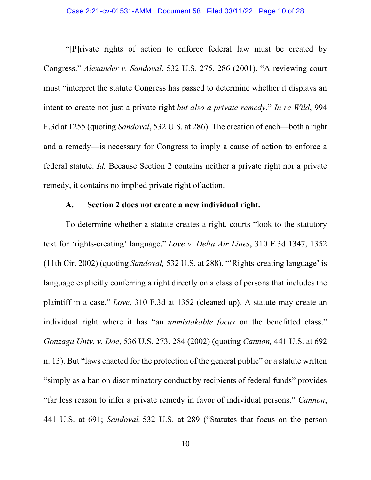"[P]rivate rights of action to enforce federal law must be created by Congress." Alexander v. Sandoval, 532 U.S. 275, 286 (2001). "A reviewing court must "interpret the statute Congress has passed to determine whether it displays an intent to create not just a private right but also a private remedy." In re Wild, 994 F.3d at 1255 (quoting Sandoval, 532 U.S. at 286). The creation of each—both a right and a remedy—is necessary for Congress to imply a cause of action to enforce a federal statute. Id. Because Section 2 contains neither a private right nor a private remedy, it contains no implied private right of action.

### A. Section 2 does not create a new individual right.

To determine whether a statute creates a right, courts "look to the statutory text for 'rights-creating' language." Love v. Delta Air Lines, 310 F.3d 1347, 1352 (11th Cir. 2002) (quoting Sandoval, 532 U.S. at 288). "'Rights-creating language' is language explicitly conferring a right directly on a class of persons that includes the plaintiff in a case." Love, 310 F.3d at 1352 (cleaned up). A statute may create an individual right where it has "an *unmistakable focus* on the benefitted class." Gonzaga Univ. v. Doe, 536 U.S. 273, 284 (2002) (quoting Cannon, 441 U.S. at 692 n. 13). But "laws enacted for the protection of the general public" or a statute written "simply as a ban on discriminatory conduct by recipients of federal funds" provides "far less reason to infer a private remedy in favor of individual persons." Cannon, 441 U.S. at 691; Sandoval, 532 U.S. at 289 ("Statutes that focus on the person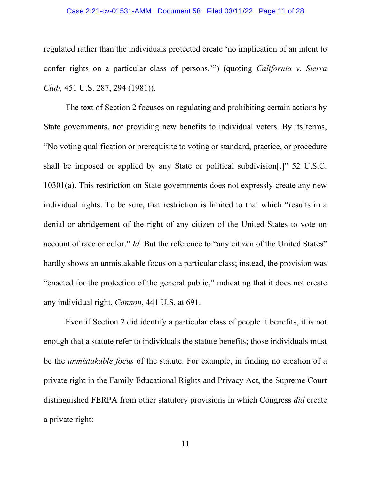#### Case 2:21-cv-01531-AMM Document 58 Filed 03/11/22 Page 11 of 28

regulated rather than the individuals protected create 'no implication of an intent to confer rights on a particular class of persons.'") (quoting California v. Sierra Club, 451 U.S. 287, 294 (1981)).

The text of Section 2 focuses on regulating and prohibiting certain actions by State governments, not providing new benefits to individual voters. By its terms, "No voting qualification or prerequisite to voting or standard, practice, or procedure shall be imposed or applied by any State or political subdivision[.]" 52 U.S.C. 10301(a). This restriction on State governments does not expressly create any new individual rights. To be sure, that restriction is limited to that which "results in a denial or abridgement of the right of any citizen of the United States to vote on account of race or color." Id. But the reference to "any citizen of the United States" hardly shows an unmistakable focus on a particular class; instead, the provision was "enacted for the protection of the general public," indicating that it does not create any individual right. Cannon, 441 U.S. at 691.

Even if Section 2 did identify a particular class of people it benefits, it is not enough that a statute refer to individuals the statute benefits; those individuals must be the unmistakable focus of the statute. For example, in finding no creation of a private right in the Family Educational Rights and Privacy Act, the Supreme Court distinguished FERPA from other statutory provisions in which Congress did create a private right: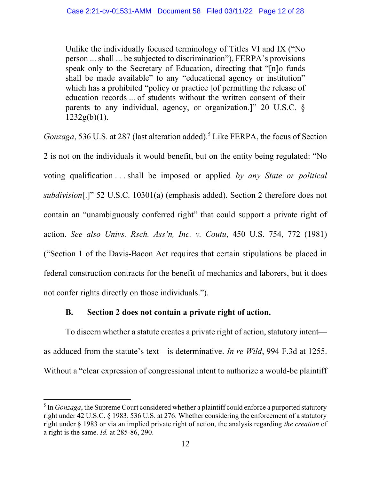Unlike the individually focused terminology of Titles VI and IX ("No person ... shall ... be subjected to discrimination"), FERPA's provisions speak only to the Secretary of Education, directing that "[n]o funds shall be made available" to any "educational agency or institution" which has a prohibited "policy or practice [of permitting the release of education records ... of students without the written consent of their parents to any individual, agency, or organization.]" 20 U.S.C. §  $1232g(b)(1)$ .

Gonzaga, 536 U.S. at 287 (last alteration added).<sup>5</sup> Like FERPA, the focus of Section

2 is not on the individuals it would benefit, but on the entity being regulated: "No voting qualification . . . shall be imposed or applied by any State or political subdivision[.]" 52 U.S.C. 10301(a) (emphasis added). Section 2 therefore does not contain an "unambiguously conferred right" that could support a private right of action. See also Univs. Rsch. Ass'n, Inc. v. Coutu, 450 U.S. 754, 772 (1981) ("Section 1 of the Davis-Bacon Act requires that certain stipulations be placed in federal construction contracts for the benefit of mechanics and laborers, but it does not confer rights directly on those individuals.").

## B. Section 2 does not contain a private right of action.

To discern whether a statute creates a private right of action, statutory intent as adduced from the statute's text—is determinative. In re Wild, 994 F.3d at 1255. Without a "clear expression of congressional intent to authorize a would-be plaintiff

<sup>&</sup>lt;sup>5</sup> In *Gonzaga*, the Supreme Court considered whether a plaintiff could enforce a purported statutory right under 42 U.S.C. § 1983. 536 U.S. at 276. Whether considering the enforcement of a statutory right under § 1983 or via an implied private right of action, the analysis regarding the creation of a right is the same. Id. at 285-86, 290.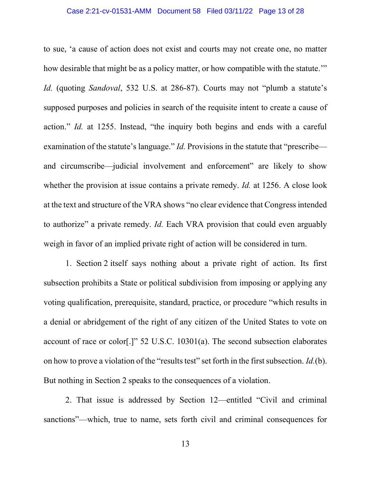#### Case 2:21-cv-01531-AMM Document 58 Filed 03/11/22 Page 13 of 28

to sue, 'a cause of action does not exist and courts may not create one, no matter how desirable that might be as a policy matter, or how compatible with the statute." Id. (quoting Sandoval, 532 U.S. at 286-87). Courts may not "plumb a statute's supposed purposes and policies in search of the requisite intent to create a cause of action." Id. at 1255. Instead, "the inquiry both begins and ends with a careful examination of the statute's language." *Id*. Provisions in the statute that "prescribe and circumscribe—judicial involvement and enforcement" are likely to show whether the provision at issue contains a private remedy. *Id.* at 1256. A close look at the text and structure of the VRA shows "no clear evidence that Congress intended to authorize" a private remedy. Id. Each VRA provision that could even arguably weigh in favor of an implied private right of action will be considered in turn.

1. Section 2 itself says nothing about a private right of action. Its first subsection prohibits a State or political subdivision from imposing or applying any voting qualification, prerequisite, standard, practice, or procedure "which results in a denial or abridgement of the right of any citizen of the United States to vote on account of race or color[.]" 52 U.S.C. 10301(a). The second subsection elaborates on how to prove a violation of the "results test" set forth in the first subsection. Id.(b). But nothing in Section 2 speaks to the consequences of a violation.

2. That issue is addressed by Section 12—entitled "Civil and criminal sanctions"—which, true to name, sets forth civil and criminal consequences for

13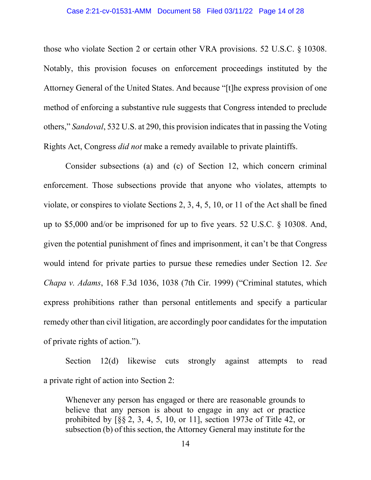#### Case 2:21-cv-01531-AMM Document 58 Filed 03/11/22 Page 14 of 28

those who violate Section 2 or certain other VRA provisions. 52 U.S.C. § 10308. Notably, this provision focuses on enforcement proceedings instituted by the Attorney General of the United States. And because "[t]he express provision of one method of enforcing a substantive rule suggests that Congress intended to preclude others," Sandoval, 532 U.S. at 290, this provision indicates that in passing the Voting Rights Act, Congress did not make a remedy available to private plaintiffs.

Consider subsections (a) and (c) of Section 12, which concern criminal enforcement. Those subsections provide that anyone who violates, attempts to violate, or conspires to violate Sections 2, 3, 4, 5, 10, or 11 of the Act shall be fined up to \$5,000 and/or be imprisoned for up to five years. 52 U.S.C. § 10308. And, given the potential punishment of fines and imprisonment, it can't be that Congress would intend for private parties to pursue these remedies under Section 12. See Chapa v. Adams, 168 F.3d 1036, 1038 (7th Cir. 1999) ("Criminal statutes, which express prohibitions rather than personal entitlements and specify a particular remedy other than civil litigation, are accordingly poor candidates for the imputation of private rights of action.").

Section 12(d) likewise cuts strongly against attempts to read a private right of action into Section 2:

Whenever any person has engaged or there are reasonable grounds to believe that any person is about to engage in any act or practice prohibited by [§§ 2, 3, 4, 5, 10, or 11], section 1973e of Title 42, or subsection (b) of this section, the Attorney General may institute for the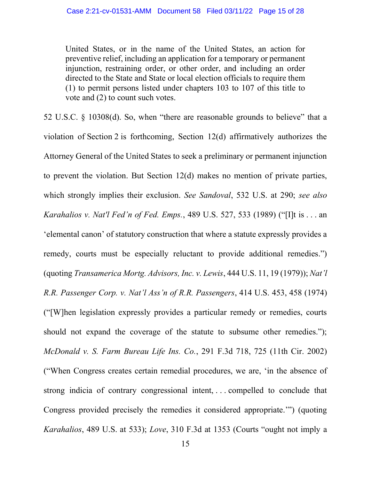United States, or in the name of the United States, an action for preventive relief, including an application for a temporary or permanent injunction, restraining order, or other order, and including an order directed to the State and State or local election officials to require them (1) to permit persons listed under chapters 103 to 107 of this title to vote and (2) to count such votes.

52 U.S.C. § 10308(d). So, when "there are reasonable grounds to believe" that a violation of Section 2 is forthcoming, Section 12(d) affirmatively authorizes the Attorney General of the United States to seek a preliminary or permanent injunction to prevent the violation. But Section 12(d) makes no mention of private parties, which strongly implies their exclusion. See Sandoval, 532 U.S. at 290; see also Karahalios v. Nat'l Fed'n of Fed. Emps., 489 U.S. 527, 533 (1989) ("[I]t is . . . an 'elemental canon' of statutory construction that where a statute expressly provides a remedy, courts must be especially reluctant to provide additional remedies.") (quoting Transamerica Mortg. Advisors, Inc. v. Lewis, 444 U.S. 11, 19 (1979)); Nat'l R.R. Passenger Corp. v. Nat'l Ass'n of R.R. Passengers, 414 U.S. 453, 458 (1974) ("[W]hen legislation expressly provides a particular remedy or remedies, courts should not expand the coverage of the statute to subsume other remedies."); McDonald v. S. Farm Bureau Life Ins. Co., 291 F.3d 718, 725 (11th Cir. 2002) ("When Congress creates certain remedial procedures, we are, 'in the absence of strong indicia of contrary congressional intent, . . . compelled to conclude that Congress provided precisely the remedies it considered appropriate.'") (quoting Karahalios, 489 U.S. at 533); Love, 310 F.3d at 1353 (Courts "ought not imply a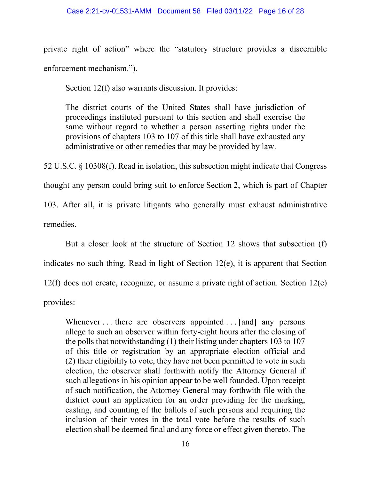### Case 2:21-cv-01531-AMM Document 58 Filed 03/11/22 Page 16 of 28

private right of action" where the "statutory structure provides a discernible enforcement mechanism.").

Section 12(f) also warrants discussion. It provides:

The district courts of the United States shall have jurisdiction of proceedings instituted pursuant to this section and shall exercise the same without regard to whether a person asserting rights under the provisions of chapters 103 to 107 of this title shall have exhausted any administrative or other remedies that may be provided by law.

52 U.S.C. § 10308(f). Read in isolation, this subsection might indicate that Congress thought any person could bring suit to enforce Section 2, which is part of Chapter 103. After all, it is private litigants who generally must exhaust administrative remedies.

But a closer look at the structure of Section 12 shows that subsection (f) indicates no such thing. Read in light of Section 12(e), it is apparent that Section 12(f) does not create, recognize, or assume a private right of action. Section 12(e) provides:

Whenever . . . there are observers appointed . . . [and] any persons allege to such an observer within forty-eight hours after the closing of the polls that notwithstanding (1) their listing under chapters 103 to 107 of this title or registration by an appropriate election official and (2) their eligibility to vote, they have not been permitted to vote in such election, the observer shall forthwith notify the Attorney General if such allegations in his opinion appear to be well founded. Upon receipt of such notification, the Attorney General may forthwith file with the district court an application for an order providing for the marking, casting, and counting of the ballots of such persons and requiring the inclusion of their votes in the total vote before the results of such election shall be deemed final and any force or effect given thereto. The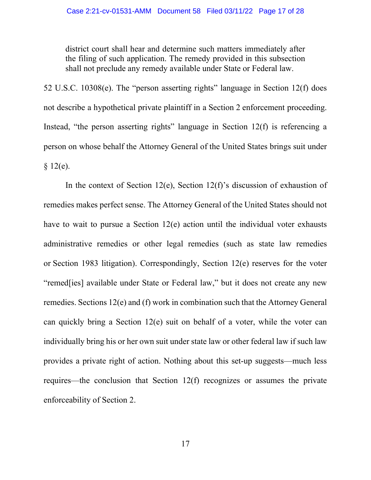district court shall hear and determine such matters immediately after the filing of such application. The remedy provided in this subsection shall not preclude any remedy available under State or Federal law.

52 U.S.C. 10308(e). The "person asserting rights" language in Section 12(f) does not describe a hypothetical private plaintiff in a Section 2 enforcement proceeding. Instead, "the person asserting rights" language in Section  $12(f)$  is referencing a person on whose behalf the Attorney General of the United States brings suit under  $§ 12(e).$ 

In the context of Section 12(e), Section 12(f)'s discussion of exhaustion of remedies makes perfect sense. The Attorney General of the United States should not have to wait to pursue a Section 12(e) action until the individual voter exhausts administrative remedies or other legal remedies (such as state law remedies or Section 1983 litigation). Correspondingly, Section 12(e) reserves for the voter "remed[ies] available under State or Federal law," but it does not create any new remedies. Sections 12(e) and (f) work in combination such that the Attorney General can quickly bring a Section 12(e) suit on behalf of a voter, while the voter can individually bring his or her own suit under state law or other federal law if such law provides a private right of action. Nothing about this set-up suggests—much less requires—the conclusion that Section 12(f) recognizes or assumes the private enforceability of Section 2.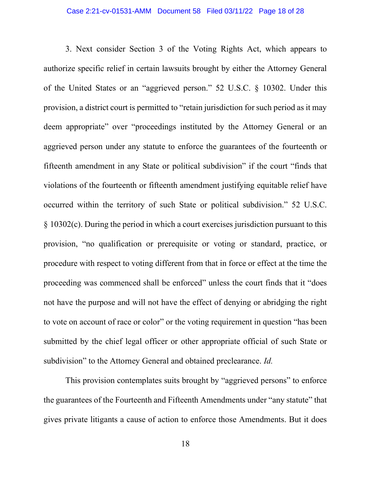3. Next consider Section 3 of the Voting Rights Act, which appears to authorize specific relief in certain lawsuits brought by either the Attorney General of the United States or an "aggrieved person." 52 U.S.C. § 10302. Under this provision, a district court is permitted to "retain jurisdiction for such period as it may deem appropriate" over "proceedings instituted by the Attorney General or an aggrieved person under any statute to enforce the guarantees of the fourteenth or fifteenth amendment in any State or political subdivision" if the court "finds that violations of the fourteenth or fifteenth amendment justifying equitable relief have occurred within the territory of such State or political subdivision." 52 U.S.C. § 10302(c). During the period in which a court exercises jurisdiction pursuant to this provision, "no qualification or prerequisite or voting or standard, practice, or procedure with respect to voting different from that in force or effect at the time the proceeding was commenced shall be enforced" unless the court finds that it "does not have the purpose and will not have the effect of denying or abridging the right to vote on account of race or color" or the voting requirement in question "has been submitted by the chief legal officer or other appropriate official of such State or subdivision" to the Attorney General and obtained preclearance. *Id.* 

 This provision contemplates suits brought by "aggrieved persons" to enforce the guarantees of the Fourteenth and Fifteenth Amendments under "any statute" that gives private litigants a cause of action to enforce those Amendments. But it does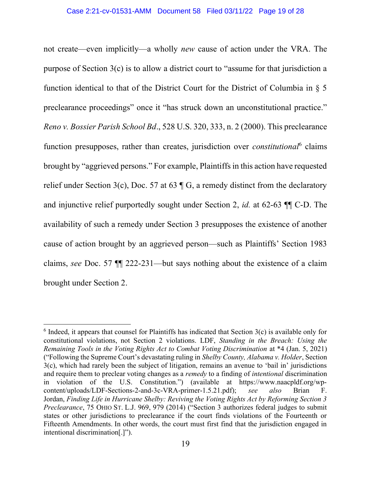not create—even implicitly—a wholly new cause of action under the VRA. The purpose of Section 3(c) is to allow a district court to "assume for that jurisdiction a function identical to that of the District Court for the District of Columbia in § 5 preclearance proceedings" once it "has struck down an unconstitutional practice." Reno v. Bossier Parish School Bd., 528 U.S. 320, 333, n. 2 (2000). This preclearance function presupposes, rather than creates, jurisdiction over *constitutional*<sup>6</sup> claims brought by "aggrieved persons." For example, Plaintiffs in this action have requested relief under Section 3(c), Doc. 57 at 63 ¶ G, a remedy distinct from the declaratory and injunctive relief purportedly sought under Section 2, id. at 62-63 ¶¶ C-D. The availability of such a remedy under Section 3 presupposes the existence of another cause of action brought by an aggrieved person—such as Plaintiffs' Section 1983 claims, see Doc. 57 ¶¶ 222-231—but says nothing about the existence of a claim brought under Section 2.

 $6$  Indeed, it appears that counsel for Plaintiffs has indicated that Section  $3(c)$  is available only for constitutional violations, not Section 2 violations. LDF, Standing in the Breach: Using the Remaining Tools in the Voting Rights Act to Combat Voting Discrimination at \*4 (Jan. 5, 2021) ("Following the Supreme Court's devastating ruling in Shelby County, Alabama v. Holder, Section 3(c), which had rarely been the subject of litigation, remains an avenue to 'bail in' jurisdictions and require them to preclear voting changes as a *remedy* to a finding of *intentional* discrimination in violation of the U.S. Constitution.") (available at https://www.naacpldf.org/wpcontent/uploads/LDF-Sections-2-and-3c-VRA-primer-1.5.21.pdf); see also Brian F. Jordan, Finding Life in Hurricane Shelby: Reviving the Voting Rights Act by Reforming Section 3 Preclearance, 75 OHIO ST. L.J. 969, 979 (2014) ("Section 3 authorizes federal judges to submit states or other jurisdictions to preclearance if the court finds violations of the Fourteenth or Fifteenth Amendments. In other words, the court must first find that the jurisdiction engaged in intentional discrimination[.]").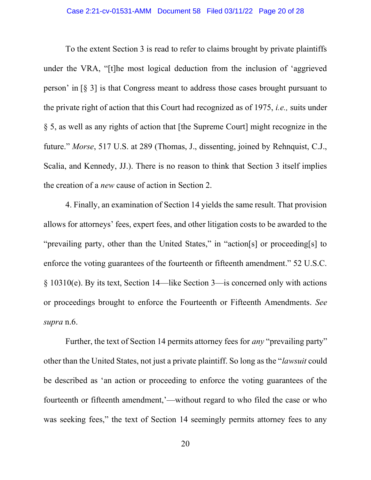To the extent Section 3 is read to refer to claims brought by private plaintiffs under the VRA, "[t]he most logical deduction from the inclusion of 'aggrieved person' in [§ 3] is that Congress meant to address those cases brought pursuant to the private right of action that this Court had recognized as of 1975, i.e., suits under § 5, as well as any rights of action that [the Supreme Court] might recognize in the future." Morse, 517 U.S. at 289 (Thomas, J., dissenting, joined by Rehnquist, C.J., Scalia, and Kennedy, JJ.). There is no reason to think that Section 3 itself implies the creation of a new cause of action in Section 2.

4. Finally, an examination of Section 14 yields the same result. That provision allows for attorneys' fees, expert fees, and other litigation costs to be awarded to the "prevailing party, other than the United States," in "action[s] or proceeding[s] to enforce the voting guarantees of the fourteenth or fifteenth amendment." 52 U.S.C. § 10310(e). By its text, Section 14—like Section 3—is concerned only with actions or proceedings brought to enforce the Fourteenth or Fifteenth Amendments. See supra n.6.

Further, the text of Section 14 permits attorney fees for *any* "prevailing party" other than the United States, not just a private plaintiff. So long as the "lawsuit could be described as 'an action or proceeding to enforce the voting guarantees of the fourteenth or fifteenth amendment,'—without regard to who filed the case or who was seeking fees," the text of Section 14 seemingly permits attorney fees to any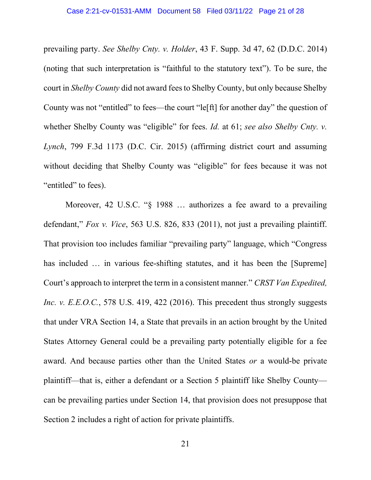prevailing party. See Shelby Cnty. v. Holder, 43 F. Supp. 3d 47, 62 (D.D.C. 2014) (noting that such interpretation is "faithful to the statutory text"). To be sure, the court in Shelby County did not award fees to Shelby County, but only because Shelby County was not "entitled" to fees—the court "le[ft] for another day" the question of whether Shelby County was "eligible" for fees. *Id.* at 61; see also Shelby Cnty. *v.* Lynch, 799 F.3d 1173 (D.C. Cir. 2015) (affirming district court and assuming without deciding that Shelby County was "eligible" for fees because it was not "entitled" to fees).

Moreover, 42 U.S.C. "§ 1988 ... authorizes a fee award to a prevailing defendant," Fox v. Vice, 563 U.S. 826, 833 (2011), not just a prevailing plaintiff. That provision too includes familiar "prevailing party" language, which "Congress has included ... in various fee-shifting statutes, and it has been the [Supreme] Court's approach to interpret the term in a consistent manner." CRST Van Expedited, Inc. v. E.E.O.C., 578 U.S. 419, 422 (2016). This precedent thus strongly suggests that under VRA Section 14, a State that prevails in an action brought by the United States Attorney General could be a prevailing party potentially eligible for a fee award. And because parties other than the United States or a would-be private plaintiff—that is, either a defendant or a Section 5 plaintiff like Shelby County can be prevailing parties under Section 14, that provision does not presuppose that Section 2 includes a right of action for private plaintiffs.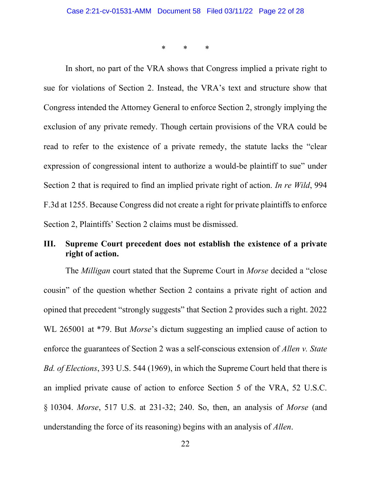\* \* \*

In short, no part of the VRA shows that Congress implied a private right to sue for violations of Section 2. Instead, the VRA's text and structure show that Congress intended the Attorney General to enforce Section 2, strongly implying the exclusion of any private remedy. Though certain provisions of the VRA could be read to refer to the existence of a private remedy, the statute lacks the "clear expression of congressional intent to authorize a would-be plaintiff to sue" under Section 2 that is required to find an implied private right of action. In re Wild, 994 F.3d at 1255. Because Congress did not create a right for private plaintiffs to enforce Section 2, Plaintiffs' Section 2 claims must be dismissed.

## III. Supreme Court precedent does not establish the existence of a private right of action.

The *Milligan* court stated that the Supreme Court in *Morse* decided a "close" cousin" of the question whether Section 2 contains a private right of action and opined that precedent "strongly suggests" that Section 2 provides such a right. 2022 WL 265001 at \*79. But *Morse*'s dictum suggesting an implied cause of action to enforce the guarantees of Section 2 was a self-conscious extension of Allen v. State Bd. of Elections, 393 U.S. 544 (1969), in which the Supreme Court held that there is an implied private cause of action to enforce Section 5 of the VRA, 52 U.S.C. § 10304. Morse, 517 U.S. at 231-32; 240. So, then, an analysis of Morse (and understanding the force of its reasoning) begins with an analysis of Allen.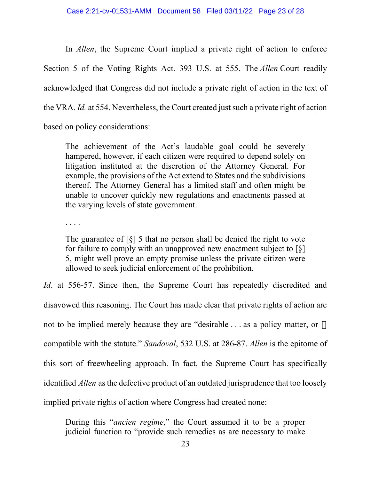In *Allen*, the Supreme Court implied a private right of action to enforce Section 5 of the Voting Rights Act. 393 U.S. at 555. The *Allen* Court readily acknowledged that Congress did not include a private right of action in the text of the VRA. Id. at 554. Nevertheless, the Court created just such a private right of action based on policy considerations:

The achievement of the Act's laudable goal could be severely hampered, however, if each citizen were required to depend solely on litigation instituted at the discretion of the Attorney General. For example, the provisions of the Act extend to States and the subdivisions thereof. The Attorney General has a limited staff and often might be unable to uncover quickly new regulations and enactments passed at the varying levels of state government.

. . . .

The guarantee of  $\lceil \xi \rceil$  5 that no person shall be denied the right to vote for failure to comply with an unapproved new enactment subject to  $\lceil \xi \rceil$ 5, might well prove an empty promise unless the private citizen were allowed to seek judicial enforcement of the prohibition.

Id. at 556-57. Since then, the Supreme Court has repeatedly discredited and disavowed this reasoning. The Court has made clear that private rights of action are not to be implied merely because they are "desirable . . . as a policy matter, or [] compatible with the statute." Sandoval, 532 U.S. at 286-87. Allen is the epitome of this sort of freewheeling approach. In fact, the Supreme Court has specifically identified Allen as the defective product of an outdated jurisprudence that too loosely implied private rights of action where Congress had created none:

During this "ancien regime," the Court assumed it to be a proper judicial function to "provide such remedies as are necessary to make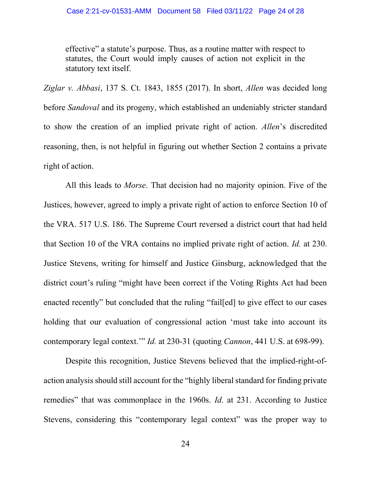effective" a statute's purpose. Thus, as a routine matter with respect to statutes, the Court would imply causes of action not explicit in the statutory text itself.

Ziglar v. Abbasi, 137 S. Ct. 1843, 1855 (2017). In short, Allen was decided long before Sandoval and its progeny, which established an undeniably stricter standard to show the creation of an implied private right of action. Allen's discredited reasoning, then, is not helpful in figuring out whether Section 2 contains a private right of action.

 All this leads to Morse. That decision had no majority opinion. Five of the Justices, however, agreed to imply a private right of action to enforce Section 10 of the VRA. 517 U.S. 186. The Supreme Court reversed a district court that had held that Section 10 of the VRA contains no implied private right of action. Id. at 230. Justice Stevens, writing for himself and Justice Ginsburg, acknowledged that the district court's ruling "might have been correct if the Voting Rights Act had been enacted recently" but concluded that the ruling "fail[ed] to give effect to our cases holding that our evaluation of congressional action 'must take into account its contemporary legal context.'" Id. at 230-31 (quoting Cannon, 441 U.S. at 698-99).

Despite this recognition, Justice Stevens believed that the implied-right-ofaction analysis should still account for the "highly liberal standard for finding private remedies" that was commonplace in the 1960s. Id. at 231. According to Justice Stevens, considering this "contemporary legal context" was the proper way to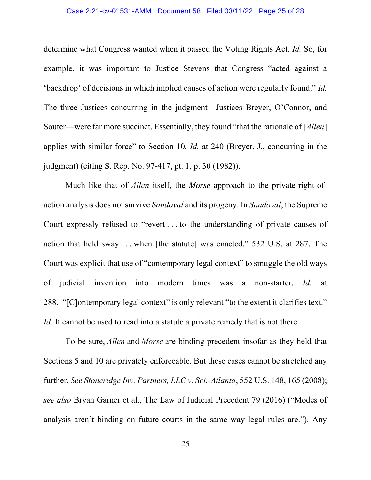#### Case 2:21-cv-01531-AMM Document 58 Filed 03/11/22 Page 25 of 28

determine what Congress wanted when it passed the Voting Rights Act. Id. So, for example, it was important to Justice Stevens that Congress "acted against a 'backdrop' of decisions in which implied causes of action were regularly found." Id. The three Justices concurring in the judgment—Justices Breyer, O'Connor, and Souter—were far more succinct. Essentially, they found "that the rationale of [Allen] applies with similar force" to Section 10. Id. at 240 (Breyer, J., concurring in the judgment) (citing S. Rep. No. 97-417, pt. 1, p. 30 (1982)).

Much like that of *Allen* itself, the *Morse* approach to the private-right-ofaction analysis does not survive Sandoval and its progeny. In Sandoval, the Supreme Court expressly refused to "revert . . . to the understanding of private causes of action that held sway . . . when [the statute] was enacted." 532 U.S. at 287. The Court was explicit that use of "contemporary legal context" to smuggle the old ways of judicial invention into modern times was a non-starter. Id. at 288. "[C]ontemporary legal context" is only relevant "to the extent it clarifies text." Id. It cannot be used to read into a statute a private remedy that is not there.

To be sure, *Allen* and *Morse* are binding precedent insofar as they held that Sections 5 and 10 are privately enforceable. But these cases cannot be stretched any further. See Stoneridge Inv. Partners, LLC v. Sci.-Atlanta, 552 U.S. 148, 165 (2008); see also Bryan Garner et al., The Law of Judicial Precedent 79 (2016) ("Modes of analysis aren't binding on future courts in the same way legal rules are."). Any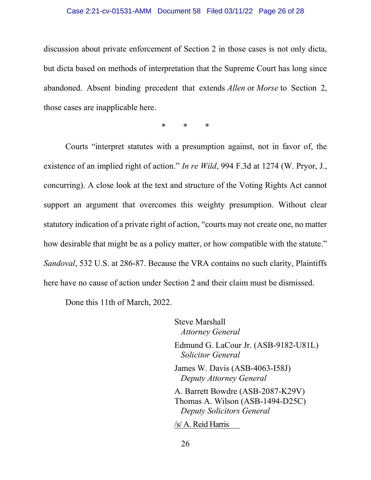### Case 2:21-cv-01531-AMM Document 58 Filed 03/11/22 Page 26 of 28

discussion about private enforcement of Section 2 in those cases is not only dicta, but dicta based on methods of interpretation that the Supreme Court has long since abandoned. Absent binding precedent that extends Allen or Morse to Section 2, those cases are inapplicable here.

\* \* \*

Courts "interpret statutes with a presumption against, not in favor of, the existence of an implied right of action." In re Wild, 994 F.3d at 1274 (W. Pryor, J., concurring). A close look at the text and structure of the Voting Rights Act cannot support an argument that overcomes this weighty presumption. Without clear statutory indication of a private right of action, "courts may not create one, no matter how desirable that might be as a policy matter, or how compatible with the statute." Sandoval, 532 U.S. at 286-87. Because the VRA contains no such clarity, Plaintiffs here have no cause of action under Section 2 and their claim must be dismissed.

Done this 11th of March, 2022.

Steve Marshall Attorney General Edmund G. LaCour Jr. (ASB-9182-U81L) Solicitor General James W. Davis (ASB-4063-I58J) Deputy Attorney General A. Barrett Bowdre (ASB-2087-K29V) Thomas A. Wilson (ASB-1494-D25C) Deputy Solicitors General /s/ A. Reid Harris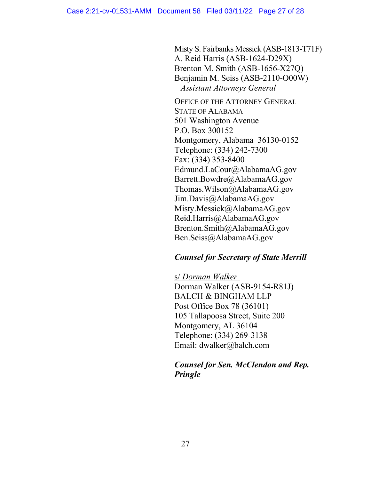Misty S. Fairbanks Messick (ASB-1813-T71F) A. Reid Harris (ASB-1624-D29X) Brenton M. Smith (ASB-1656-X27Q) Benjamin M. Seiss (ASB-2110-O00W) Assistant Attorneys General

OFFICE OF THE ATTORNEY GENERAL STATE OF ALABAMA 501 Washington Avenue P.O. Box 300152 Montgomery, Alabama 36130-0152 Telephone: (334) 242-7300 Fax: (334) 353-8400 Edmund.LaCour@AlabamaAG.gov Barrett.Bowdre@AlabamaAG.gov Thomas.Wilson@AlabamaAG.gov Jim.Davis@AlabamaAG.gov Misty.Messick@AlabamaAG.gov Reid.Harris@AlabamaAG.gov Brenton.Smith@AlabamaAG.gov Ben.Seiss@AlabamaAG.gov

## Counsel for Secretary of State Merrill

s/ Dorman Walker Dorman Walker (ASB-9154-R81J) BALCH & BINGHAM LLP Post Office Box 78 (36101) 105 Tallapoosa Street, Suite 200 Montgomery, AL 36104 Telephone: (334) 269-3138 Email: dwalker@balch.com

## Counsel for Sen. McClendon and Rep. Pringle